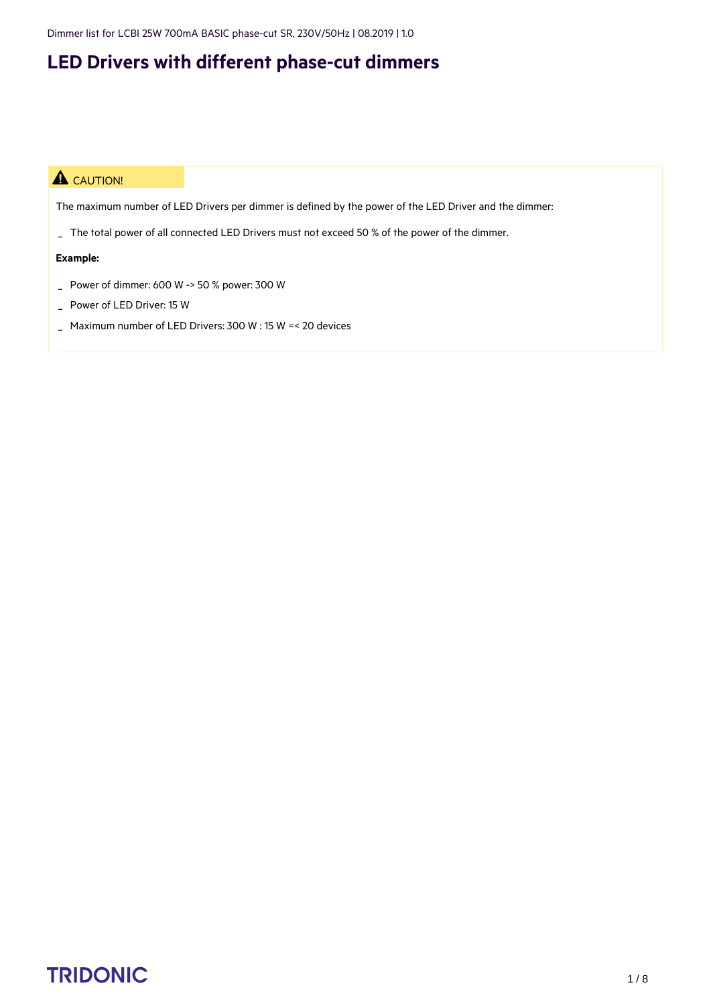Dimmer list for LCBI 25W 700mA BASIC phase-cut SR, 230V/50Hz | 08.2019 | 1.0

#### **LED Drivers with different phase-cut dimmers**

#### **A** CAUTION!

The maximum number of LED Drivers per dimmer is defined by the power of the LED Driver and the dimmer:

\_ The total power of all connected LED Drivers must not exceed 50 % of the power of the dimmer.

#### **Example:**

- \_ Power of dimmer: 600 W -> 50 % power: 300 W
- \_ Power of LED Driver: 15 W
- \_ Maximum number of LED Drivers: 300 W : 15 W =< 20 devices

## TRIDONIC and the set of the set of the set of the set of the set of the set of the set of the set of the set of the set of the set of the set of the set of the set of the set of the set of the set of the set of the set of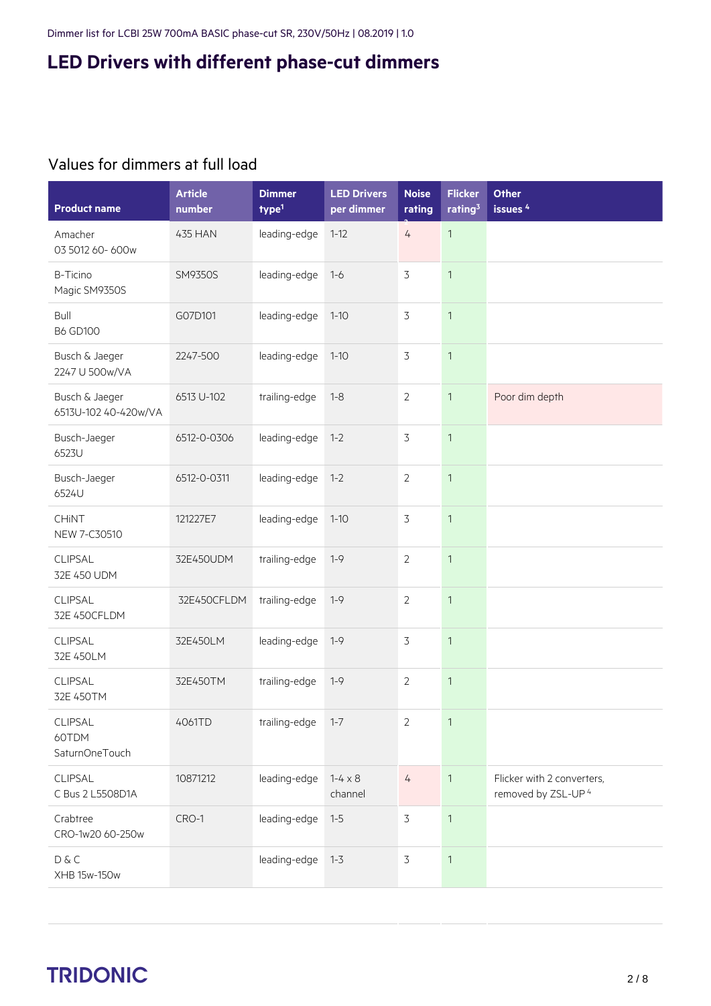#### Values for dimmers at full load

| <b>Product name</b>                       | <b>Article</b><br>number | <b>Dimmer</b><br>type <sup>1</sup> | <b>LED Drivers</b><br>per dimmer | <b>Noise</b><br>rating | <b>Flicker</b><br>rating $3$ | Other<br>issues <sup>4</sup>                                 |
|-------------------------------------------|--------------------------|------------------------------------|----------------------------------|------------------------|------------------------------|--------------------------------------------------------------|
| Amacher<br>03 5012 60-600w                | 435 HAN                  | leading-edge                       | $1 - 12$                         | 4                      | $\mathbf{1}$                 |                                                              |
| B-Ticino<br>Magic SM9350S                 | SM9350S                  | leading-edge                       | $1 - 6$                          | 3                      | $\mathbf{1}$                 |                                                              |
| Bull<br><b>B6 GD100</b>                   | G07D101                  | leading-edge                       | $1 - 10$                         | 3                      | $\mathbf{1}$                 |                                                              |
| Busch & Jaeger<br>2247 U 500w/VA          | 2247-500                 | leading-edge                       | $1 - 10$                         | $\overline{3}$         | $\mathbf{1}$                 |                                                              |
| Busch & Jaeger<br>6513U-102 40-420w/VA    | 6513 U-102               | trailing-edge                      | $1 - 8$                          | $\overline{2}$         | $\mathbf{1}$                 | Poor dim depth                                               |
| Busch-Jaeger<br>6523U                     | 6512-0-0306              | leading-edge                       | $1 - 2$                          | 3                      | $\mathbf{1}$                 |                                                              |
| Busch-Jaeger<br>6524U                     | 6512-0-0311              | leading-edge                       | $1 - 2$                          | $\overline{2}$         | $\mathbf{1}$                 |                                                              |
| CHINT<br>NEW 7-C30510                     | 121227E7                 | leading-edge                       | $1 - 10$                         | $\overline{3}$         | $\mathbf{1}$                 |                                                              |
| CLIPSAL<br>32E 450 UDM                    | 32E450UDM                | trailing-edge                      | $1 - 9$                          | $\overline{2}$         | $\mathbf{1}$                 |                                                              |
| CLIPSAL<br>32E 450CFLDM                   | 32E450CFLDM              | trailing-edge                      | $1 - 9$                          | $\overline{2}$         | $\mathbf{1}$                 |                                                              |
| CLIPSAL<br>32E 450LM                      | 32E450LM                 | leading-edge                       | $1 - 9$                          | $\overline{3}$         | $\mathbf{1}$                 |                                                              |
| CLIPSAL<br>32E 450TM                      | 32E450TM                 | trailing-edge                      | $1 - 9$                          | $\overline{2}$         | $\mathbf{1}$                 |                                                              |
| <b>CLIPSAL</b><br>60TDM<br>SaturnOneTouch | 4061TD                   | trailing-edge                      | $1 - 7$                          | 2                      | 1                            |                                                              |
| CLIPSAL<br>C Bus 2 L5508D1A               | 10871212                 | leading-edge                       | $1 - 4 \times 8$<br>channel      | $\overline{4}$         | $\mathbf{1}$                 | Flicker with 2 converters,<br>removed by ZSL-UP <sup>4</sup> |
| Crabtree<br>CRO-1w20 60-250w              | CRO-1                    | leading-edge                       | $1 - 5$                          | $\overline{3}$         | $\mathbf{1}$                 |                                                              |
| D & C<br>XHB 15w-150w                     |                          | leading-edge                       | $1 - 3$                          | $\mathfrak{Z}$         | $\mathbf{1}$                 |                                                              |

## $\begin{array}{ccc}\n\textbf{TRIDONIC} & & & & & & \\
\textbf{TRIDONIC} & & & & & & \\
\end{array}$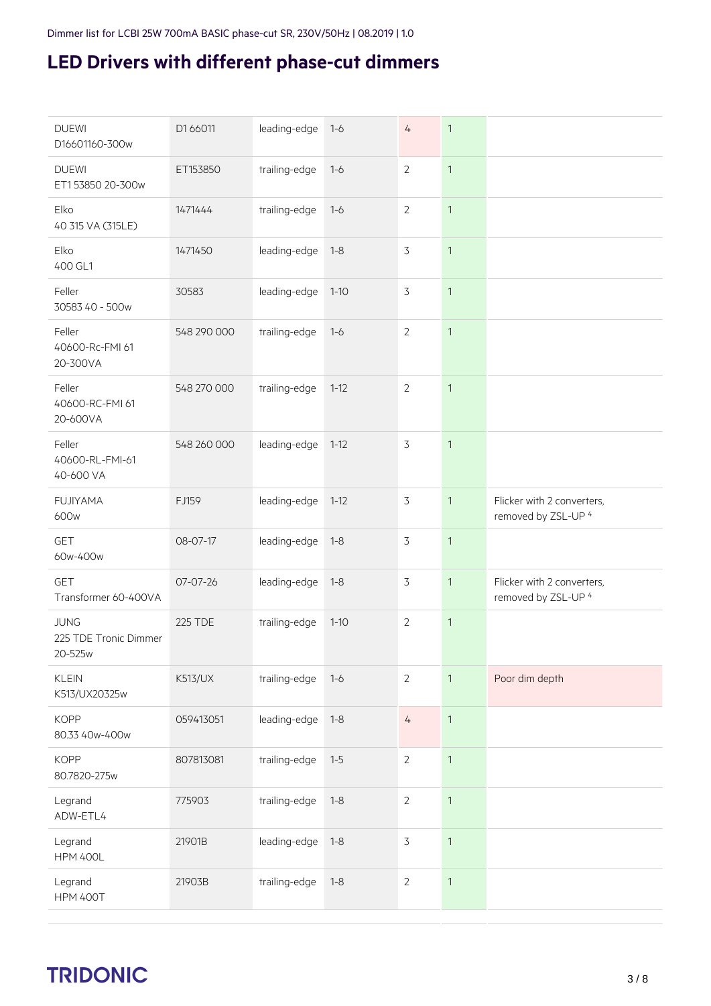| leading-edge<br><b>DUEWI</b><br>D1 66011<br>$\overline{4}$<br>$\mathbf{1}$<br>$1 - 6$<br>D16601160-300w<br>trailing-edge<br>$\overline{2}$<br>$\mathbf{1}$<br><b>DUEWI</b><br>ET153850<br>$1 - 6$<br>ET153850 20-300w<br>Elko<br>trailing-edge<br>$\overline{2}$<br>$\mathbf{1}$<br>1471444<br>$1 - 6$<br>40 315 VA (315LE)<br>3<br>$\mathbf{1}$<br>Elko<br>leading-edge<br>1471450<br>$1 - 8$<br>400 GL1<br>$\overline{3}$<br>Feller<br>leading-edge<br>$\mathbf{1}$<br>30583<br>$1 - 10$<br>30583 40 - 500w<br>548 290 000<br>trailing-edge<br>$\overline{2}$<br>$\mathbf{1}$<br>Feller<br>$1 - 6$<br>40600-Rc-FMI 61<br>20-300VA<br>Feller<br>548 270 000<br>trailing-edge<br>$\overline{2}$<br>$\mathbf{1}$<br>$1 - 12$<br>40600-RC-FMI 61<br>20-600VA<br>$\overline{3}$<br>$\mathbf{1}$<br>Feller<br>548 260 000<br>leading-edge<br>$1 - 12$<br>40600-RL-FMI-61<br>40-600 VA<br>Flicker with 2 converters,<br><b>FUJIYAMA</b><br>leading-edge<br>$\overline{3}$<br>$\mathbf{1}$<br>FJ159<br>$1 - 12$<br>removed by ZSL-UP 4<br>600w<br><b>GET</b><br>leading-edge<br>3<br>$\mathbf{1}$<br>08-07-17<br>$1 - 8$<br>60w-400w<br>leading-edge<br>$\overline{3}$<br>$\mathbf{1}$<br>Flicker with 2 converters,<br><b>GET</b><br>07-07-26<br>$1 - 8$<br>removed by ZSL-UP 4<br>Transformer 60-400VA<br>trailing-edge<br>$\overline{2}$<br>$\mathbf{1}$<br><b>JUNG</b><br><b>225 TDE</b><br>$1 - 10$<br>225 TDE Tronic Dimmer<br>20-525w<br><b>KLEIN</b><br>Poor dim depth<br><b>K513/UX</b><br>trailing-edge<br>$\overline{2}$<br>$\mathbf{1}$<br>$1 - 6$<br>K513/UX20325w<br><b>KOPP</b><br>leading-edge<br>059413051<br>$1 - 8$<br>$\frac{1}{4}$<br>$\mathbf{1}$<br>80.33 40w-400w<br><b>KOPP</b><br>trailing-edge<br>$\overline{2}$<br>$\mathbf{1}$<br>807813081<br>$1-5$<br>80.7820-275w<br>$\overline{2}$<br>$\mathbf{1}$<br>trailing-edge<br>$1 - 8$<br>Legrand<br>775903<br>ADW-ETL4<br>$\overline{3}$<br>$\mathbf{1}$<br>Legrand<br>21901B<br>leading-edge<br>$1 - 8$<br><b>HPM 400L</b><br>trailing-edge<br>$\overline{2}$<br>$\mathbf{1}$<br>21903B<br>$1 - 8$<br>Legrand<br><b>HPM 400T</b> |  |  |  |  |
|-------------------------------------------------------------------------------------------------------------------------------------------------------------------------------------------------------------------------------------------------------------------------------------------------------------------------------------------------------------------------------------------------------------------------------------------------------------------------------------------------------------------------------------------------------------------------------------------------------------------------------------------------------------------------------------------------------------------------------------------------------------------------------------------------------------------------------------------------------------------------------------------------------------------------------------------------------------------------------------------------------------------------------------------------------------------------------------------------------------------------------------------------------------------------------------------------------------------------------------------------------------------------------------------------------------------------------------------------------------------------------------------------------------------------------------------------------------------------------------------------------------------------------------------------------------------------------------------------------------------------------------------------------------------------------------------------------------------------------------------------------------------------------------------------------------------------------------------------------------------------------------------------------------------------------------------------------------------------------------------------------------------------------------------------------------------------------------------------------|--|--|--|--|
|                                                                                                                                                                                                                                                                                                                                                                                                                                                                                                                                                                                                                                                                                                                                                                                                                                                                                                                                                                                                                                                                                                                                                                                                                                                                                                                                                                                                                                                                                                                                                                                                                                                                                                                                                                                                                                                                                                                                                                                                                                                                                                       |  |  |  |  |
|                                                                                                                                                                                                                                                                                                                                                                                                                                                                                                                                                                                                                                                                                                                                                                                                                                                                                                                                                                                                                                                                                                                                                                                                                                                                                                                                                                                                                                                                                                                                                                                                                                                                                                                                                                                                                                                                                                                                                                                                                                                                                                       |  |  |  |  |
|                                                                                                                                                                                                                                                                                                                                                                                                                                                                                                                                                                                                                                                                                                                                                                                                                                                                                                                                                                                                                                                                                                                                                                                                                                                                                                                                                                                                                                                                                                                                                                                                                                                                                                                                                                                                                                                                                                                                                                                                                                                                                                       |  |  |  |  |
|                                                                                                                                                                                                                                                                                                                                                                                                                                                                                                                                                                                                                                                                                                                                                                                                                                                                                                                                                                                                                                                                                                                                                                                                                                                                                                                                                                                                                                                                                                                                                                                                                                                                                                                                                                                                                                                                                                                                                                                                                                                                                                       |  |  |  |  |
|                                                                                                                                                                                                                                                                                                                                                                                                                                                                                                                                                                                                                                                                                                                                                                                                                                                                                                                                                                                                                                                                                                                                                                                                                                                                                                                                                                                                                                                                                                                                                                                                                                                                                                                                                                                                                                                                                                                                                                                                                                                                                                       |  |  |  |  |
|                                                                                                                                                                                                                                                                                                                                                                                                                                                                                                                                                                                                                                                                                                                                                                                                                                                                                                                                                                                                                                                                                                                                                                                                                                                                                                                                                                                                                                                                                                                                                                                                                                                                                                                                                                                                                                                                                                                                                                                                                                                                                                       |  |  |  |  |
|                                                                                                                                                                                                                                                                                                                                                                                                                                                                                                                                                                                                                                                                                                                                                                                                                                                                                                                                                                                                                                                                                                                                                                                                                                                                                                                                                                                                                                                                                                                                                                                                                                                                                                                                                                                                                                                                                                                                                                                                                                                                                                       |  |  |  |  |
|                                                                                                                                                                                                                                                                                                                                                                                                                                                                                                                                                                                                                                                                                                                                                                                                                                                                                                                                                                                                                                                                                                                                                                                                                                                                                                                                                                                                                                                                                                                                                                                                                                                                                                                                                                                                                                                                                                                                                                                                                                                                                                       |  |  |  |  |
|                                                                                                                                                                                                                                                                                                                                                                                                                                                                                                                                                                                                                                                                                                                                                                                                                                                                                                                                                                                                                                                                                                                                                                                                                                                                                                                                                                                                                                                                                                                                                                                                                                                                                                                                                                                                                                                                                                                                                                                                                                                                                                       |  |  |  |  |
|                                                                                                                                                                                                                                                                                                                                                                                                                                                                                                                                                                                                                                                                                                                                                                                                                                                                                                                                                                                                                                                                                                                                                                                                                                                                                                                                                                                                                                                                                                                                                                                                                                                                                                                                                                                                                                                                                                                                                                                                                                                                                                       |  |  |  |  |
|                                                                                                                                                                                                                                                                                                                                                                                                                                                                                                                                                                                                                                                                                                                                                                                                                                                                                                                                                                                                                                                                                                                                                                                                                                                                                                                                                                                                                                                                                                                                                                                                                                                                                                                                                                                                                                                                                                                                                                                                                                                                                                       |  |  |  |  |
|                                                                                                                                                                                                                                                                                                                                                                                                                                                                                                                                                                                                                                                                                                                                                                                                                                                                                                                                                                                                                                                                                                                                                                                                                                                                                                                                                                                                                                                                                                                                                                                                                                                                                                                                                                                                                                                                                                                                                                                                                                                                                                       |  |  |  |  |
|                                                                                                                                                                                                                                                                                                                                                                                                                                                                                                                                                                                                                                                                                                                                                                                                                                                                                                                                                                                                                                                                                                                                                                                                                                                                                                                                                                                                                                                                                                                                                                                                                                                                                                                                                                                                                                                                                                                                                                                                                                                                                                       |  |  |  |  |
|                                                                                                                                                                                                                                                                                                                                                                                                                                                                                                                                                                                                                                                                                                                                                                                                                                                                                                                                                                                                                                                                                                                                                                                                                                                                                                                                                                                                                                                                                                                                                                                                                                                                                                                                                                                                                                                                                                                                                                                                                                                                                                       |  |  |  |  |
|                                                                                                                                                                                                                                                                                                                                                                                                                                                                                                                                                                                                                                                                                                                                                                                                                                                                                                                                                                                                                                                                                                                                                                                                                                                                                                                                                                                                                                                                                                                                                                                                                                                                                                                                                                                                                                                                                                                                                                                                                                                                                                       |  |  |  |  |
|                                                                                                                                                                                                                                                                                                                                                                                                                                                                                                                                                                                                                                                                                                                                                                                                                                                                                                                                                                                                                                                                                                                                                                                                                                                                                                                                                                                                                                                                                                                                                                                                                                                                                                                                                                                                                                                                                                                                                                                                                                                                                                       |  |  |  |  |
|                                                                                                                                                                                                                                                                                                                                                                                                                                                                                                                                                                                                                                                                                                                                                                                                                                                                                                                                                                                                                                                                                                                                                                                                                                                                                                                                                                                                                                                                                                                                                                                                                                                                                                                                                                                                                                                                                                                                                                                                                                                                                                       |  |  |  |  |
|                                                                                                                                                                                                                                                                                                                                                                                                                                                                                                                                                                                                                                                                                                                                                                                                                                                                                                                                                                                                                                                                                                                                                                                                                                                                                                                                                                                                                                                                                                                                                                                                                                                                                                                                                                                                                                                                                                                                                                                                                                                                                                       |  |  |  |  |

## c 3 / 8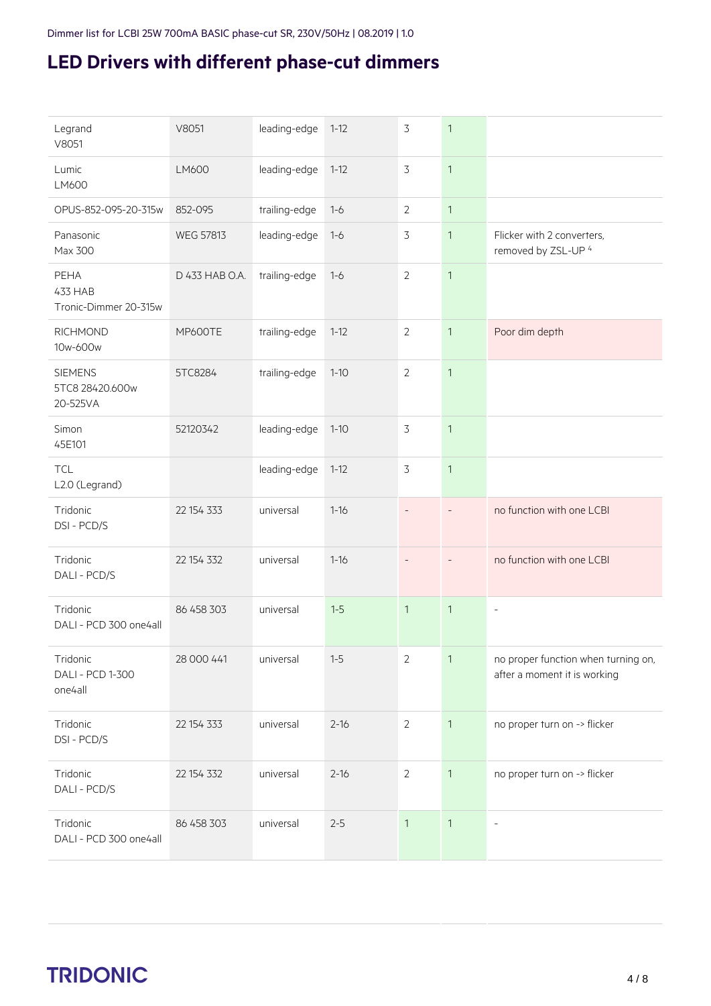| Legrand<br>V8051                                | V8051            | leading-edge  | $1 - 12$ | $\overline{3}$ | $\mathbf{1}$             |                                                                     |
|-------------------------------------------------|------------------|---------------|----------|----------------|--------------------------|---------------------------------------------------------------------|
| Lumic<br>LM600                                  | LM600            | leading-edge  | $1 - 12$ | 3              | $\mathbf{1}$             |                                                                     |
| OPUS-852-095-20-315w                            | 852-095          | trailing-edge | $1 - 6$  | 2              | $\mathbf{1}$             |                                                                     |
| Panasonic<br>Max 300                            | <b>WEG 57813</b> | leading-edge  | $1 - 6$  | $\overline{3}$ | $\mathbf{1}$             | Flicker with 2 converters,<br>removed by ZSL-UP 4                   |
| PEHA<br><b>433 HAB</b><br>Tronic-Dimmer 20-315w | D 433 HAB O.A.   | trailing-edge | $1 - 6$  | $\overline{2}$ | $\mathbf{1}$             |                                                                     |
| <b>RICHMOND</b><br>10w-600w                     | <b>MP600TE</b>   | trailing-edge | $1 - 12$ | $\overline{2}$ | $\mathbf{1}$             | Poor dim depth                                                      |
| <b>SIEMENS</b><br>5TC8 28420.600w<br>20-525VA   | 5TC8284          | trailing-edge | $1 - 10$ | $\overline{2}$ | $\mathbf{1}$             |                                                                     |
| Simon<br>45E101                                 | 52120342         | leading-edge  | $1 - 10$ | $\overline{3}$ | $\mathbf{1}$             |                                                                     |
| <b>TCL</b><br>L2.0 (Legrand)                    |                  | leading-edge  | $1 - 12$ | $\overline{3}$ | $\mathbf{1}$             |                                                                     |
| Tridonic<br>DSI-PCD/S                           | 22 154 333       | universal     | $1 - 16$ | $\overline{a}$ | $\overline{\phantom{a}}$ | no function with one LCBI                                           |
| Tridonic<br>DALI - PCD/S                        | 22 154 332       | universal     | $1 - 16$ |                |                          | no function with one LCBI                                           |
| Tridonic<br>DALI - PCD 300 one4all              | 86 458 303       | universal     | $1-5$    | $\mathbf{1}$   | $\mathbf{1}$             | $\overline{\phantom{a}}$                                            |
| Tridonic<br>DALI - PCD 1-300<br>one4all         | 28 000 441       | universal     | $1-5$    | $\overline{2}$ | $\mathbf{1}$             | no proper function when turning on,<br>after a moment it is working |
| Tridonic<br>DSI - PCD/S                         | 22 154 333       | universal     | $2 - 16$ | $\overline{2}$ | $\mathbf{1}$             | no proper turn on -> flicker                                        |
| Tridonic<br>DALI - PCD/S                        | 22 154 332       | universal     | $2 - 16$ | $\overline{2}$ | $\mathbf{1}$             | no proper turn on -> flicker                                        |
| Tridonic<br>DALI - PCD 300 one4all              | 86 458 303       | universal     | $2 - 5$  | $\mathbf{1}$   | $\mathbf{1}$             | $\overline{\phantom{a}}$                                            |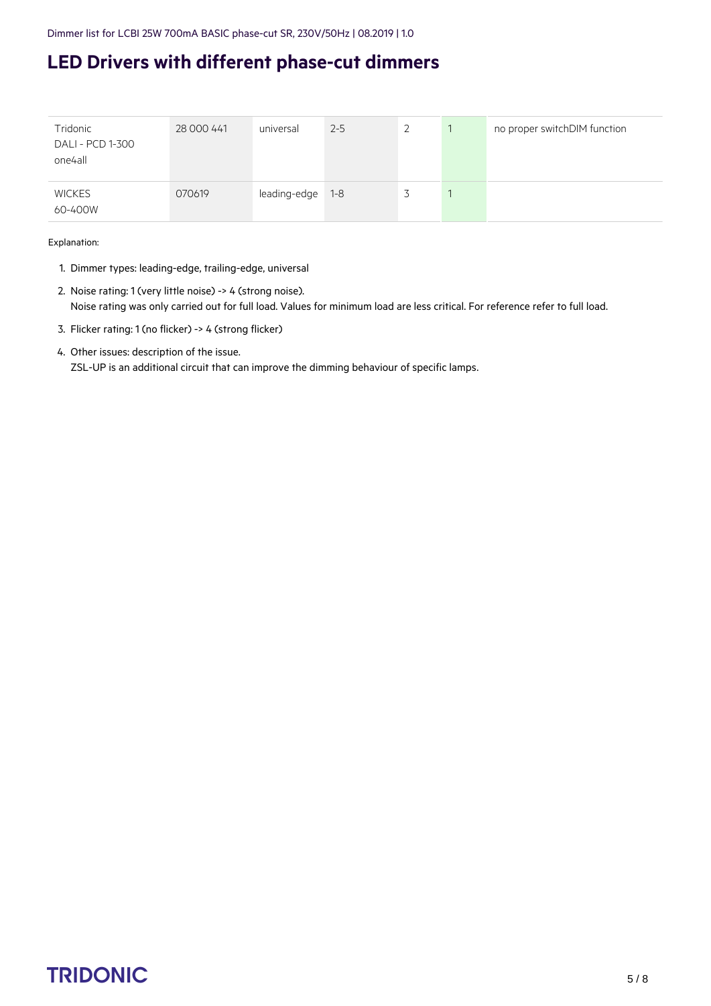| Tridonic<br>DALI - PCD 1-300<br>one4all | 28 000 441 | universal    | $2 - 5$ | ∠ | no proper switchDIM function |
|-----------------------------------------|------------|--------------|---------|---|------------------------------|
| <b>WICKES</b><br>60-400W                | 070619     | leading-edge | $1 - 8$ |   |                              |

Explanation:

- 1. Dimmer types: leading-edge, trailing-edge, universal
- 2. Noise rating: 1 (very little noise) -> 4 (strong noise). Noise rating was only carried out for full load. Values for minimum load are less critical. For reference refer to full load.
- 3. Flicker rating: 1 (no flicker) -> 4 (strong flicker)
- 4. Other issues: description of the issue. ZSL-UP is an additional circuit that can improve the dimming behaviour of specific lamps.

### $\begin{array}{ccc}\n\textbf{TRIDONIC} & & & & & & \\
\textbf{TRIDONIC} & & & & & & \\
\end{array}$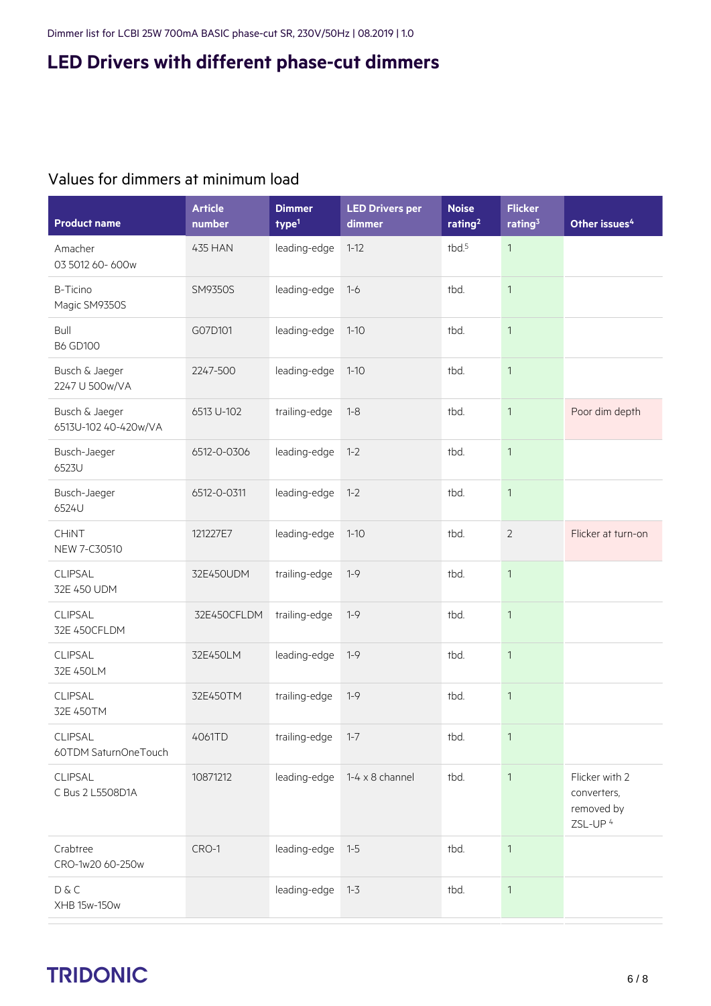#### Values for dimmers at minimum load

| <b>Product name</b>                    | <b>Article</b><br>number | <b>Dimmer</b><br>$1$ | <b>LED Drivers per</b><br>dimmer | <b>Noise</b><br>rating <sup>2</sup> | <b>Flicker</b><br>rating $3$ | Other issues <sup>4</sup>                                          |
|----------------------------------------|--------------------------|----------------------|----------------------------------|-------------------------------------|------------------------------|--------------------------------------------------------------------|
| Amacher<br>03 5012 60-600w             | 435 HAN                  | leading-edge         | $1 - 12$                         | tbd. <sup>5</sup>                   | $\mathbf{1}$                 |                                                                    |
| <b>B-Ticino</b><br>Magic SM9350S       | <b>SM9350S</b>           | leading-edge         | $1 - 6$                          | tbd.                                | $\mathbf{1}$                 |                                                                    |
| Bull<br><b>B6 GD100</b>                | G07D101                  | leading-edge         | $1 - 10$                         | tbd.                                | $\mathbf{1}$                 |                                                                    |
| Busch & Jaeger<br>2247 U 500w/VA       | 2247-500                 | leading-edge         | $1 - 10$                         | tbd.                                | $\mathbf{1}$                 |                                                                    |
| Busch & Jaeger<br>6513U-102 40-420w/VA | 6513 U-102               | trailing-edge        | $1 - 8$                          | tbd.                                | $\mathbf{1}$                 | Poor dim depth                                                     |
| Busch-Jaeger<br>6523U                  | 6512-0-0306              | leading-edge         | $1 - 2$                          | tbd.                                | $\mathbf{1}$                 |                                                                    |
| Busch-Jaeger<br>6524U                  | 6512-0-0311              | leading-edge         | $1 - 2$                          | tbd.                                | $\mathbf{1}$                 |                                                                    |
| <b>CHINT</b><br>NEW 7-C30510           | 121227E7                 | leading-edge         | $1 - 10$                         | tbd.                                | $\overline{2}$               | Flicker at turn-on                                                 |
| CLIPSAL<br>32E 450 UDM                 | 32E450UDM                | trailing-edge        | $1 - 9$                          | tbd.                                | $\mathbf{1}$                 |                                                                    |
| CLIPSAL<br>32E 450CFLDM                | 32E450CFLDM              | trailing-edge        | $1 - 9$                          | tbd.                                | $\mathbf{1}$                 |                                                                    |
| <b>CLIPSAL</b><br>32E 450LM            | 32E450LM                 | leading-edge         | $1 - 9$                          | tbd.                                | $\mathbf{1}$                 |                                                                    |
| CLIPSAL<br>32E 450TM                   | 32E450TM                 | trailing-edge        | $1 - 9$                          | tbd.                                | $\mathbf{1}$                 |                                                                    |
| <b>CLIPSAL</b><br>60TDM SaturnOneTouch | 4061TD                   | trailing-edge        | $1 - 7$                          | tbd.                                | $\mathbf{1}$                 |                                                                    |
| CLIPSAL<br>C Bus 2 L5508D1A            | 10871212                 | leading-edge         | $1-4 \times 8$ channel           | tbd.                                | $\mathbf{1}$                 | Flicker with 2<br>converters,<br>removed by<br>ZSL-UP <sup>4</sup> |
| Crabtree<br>CRO-1w20 60-250w           | CRO-1                    | leading-edge         | $1 - 5$                          | tbd.                                | $\mathbf{1}$                 |                                                                    |
| D & C<br>XHB 15w-150w                  |                          | leading-edge         | $1 - 3$                          | tbd.                                | $\mathbf{1}$                 |                                                                    |

# $\begin{array}{ccc}\n\textbf{TRIDONIC} & & & & & \\
\textbf{TRIDONIC} & & & & & \\
\end{array}$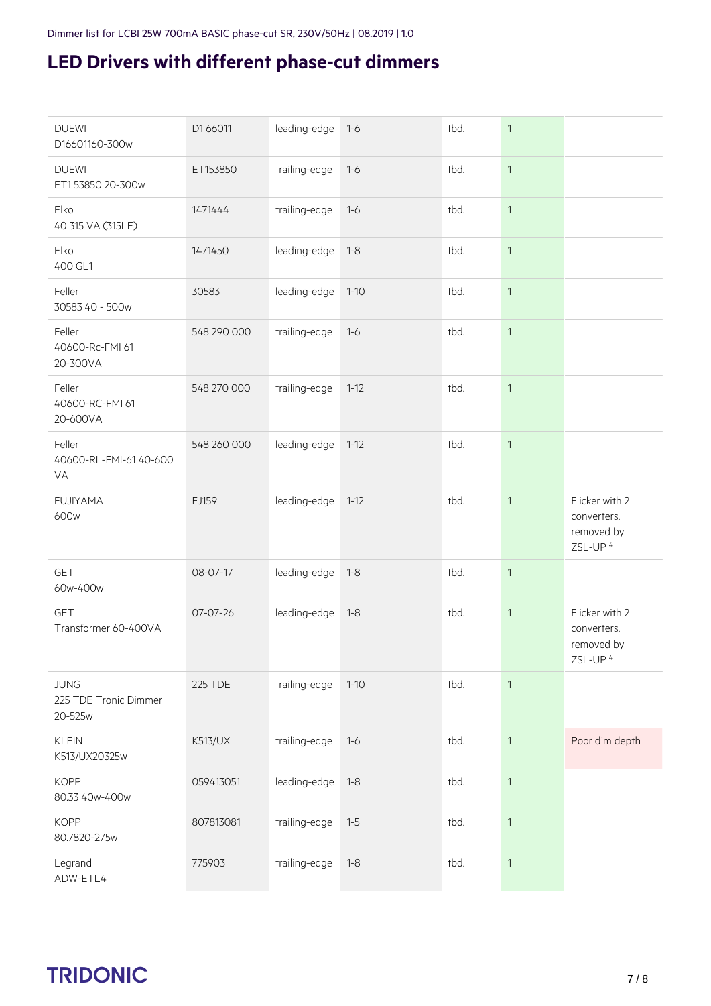| <b>DUEWI</b><br>D16601160-300w                  | D1 66011       | leading-edge  | $1 - 6$  | tbd. | $\mathbf{1}$ |                                                                    |
|-------------------------------------------------|----------------|---------------|----------|------|--------------|--------------------------------------------------------------------|
| <b>DUEWI</b><br>ET153850 20-300w                | ET153850       | trailing-edge | $1 - 6$  | tbd. | $\mathbf{1}$ |                                                                    |
| Elko<br>40 315 VA (315LE)                       | 1471444        | trailing-edge | $1 - 6$  | tbd. | $\mathbf{1}$ |                                                                    |
| Elko<br>400 GL1                                 | 1471450        | leading-edge  | $1 - 8$  | tbd. | $\mathbf{1}$ |                                                                    |
| Feller<br>30583 40 - 500w                       | 30583          | leading-edge  | $1 - 10$ | tbd. | $\mathbf{1}$ |                                                                    |
| Feller<br>40600-Rc-FMI 61<br>20-300VA           | 548 290 000    | trailing-edge | $1 - 6$  | tbd. | $\mathbf{1}$ |                                                                    |
| Feller<br>40600-RC-FMI 61<br>20-600VA           | 548 270 000    | trailing-edge | $1 - 12$ | tbd. | $\mathbf{1}$ |                                                                    |
| Feller<br>40600-RL-FMI-61 40-600<br>VA          | 548 260 000    | leading-edge  | $1 - 12$ | tbd. | $\mathbf{1}$ |                                                                    |
| <b>FUJIYAMA</b><br>600w                         | FJ159          | leading-edge  | $1 - 12$ | tbd. | $\mathbf{1}$ | Flicker with 2<br>converters,<br>removed by<br>ZSL-UP <sup>4</sup> |
| <b>GET</b><br>60w-400w                          | 08-07-17       | leading-edge  | $1 - 8$  | tbd. | $\mathbf{1}$ |                                                                    |
| <b>GET</b><br>Transformer 60-400VA              | 07-07-26       | leading-edge  | $1 - 8$  | tbd. | $\mathbf{1}$ | Flicker with 2<br>converters,<br>removed by<br>ZSL-UP <sup>4</sup> |
| <b>JUNG</b><br>225 TDE Tronic Dimmer<br>20-525w | <b>225 TDE</b> | trailing-edge | $1 - 10$ | tbd. | $\mathbf{1}$ |                                                                    |
| <b>KLEIN</b><br>K513/UX20325w                   | <b>K513/UX</b> | trailing-edge | $1 - 6$  | tbd. | $\mathbf{1}$ | Poor dim depth                                                     |
| <b>KOPP</b><br>80.33 40w-400w                   | 059413051      | leading-edge  | $1 - 8$  | tbd. | $\mathbf{1}$ |                                                                    |
| <b>KOPP</b><br>80.7820-275w                     | 807813081      | trailing-edge | $1 - 5$  | tbd. | $\mathbf{1}$ |                                                                    |
| Legrand<br>ADW-ETL4                             | 775903         | trailing-edge | $1 - 8$  | tbd. | $\mathbf{1}$ |                                                                    |